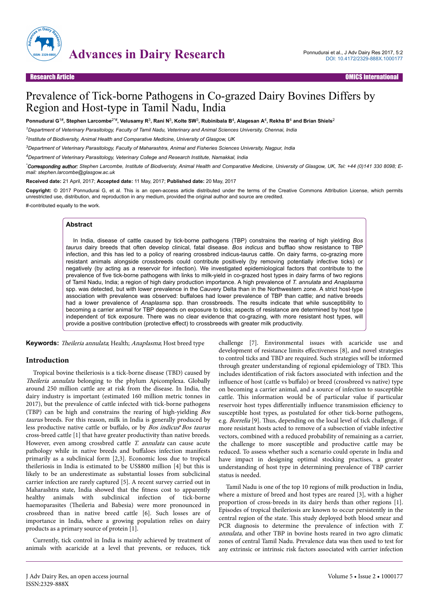

# Prevalence of Tick-borne Pathogens in Co-grazed Dairy Bovines Differs by Region and Host-type in Tamil Nadu, India

**Ponnudurai G**1#**, Stephen Larcombe**2\*#**, Velusamy R**<sup>3</sup> **, Rani N**<sup>3</sup> **, Kolte SW**<sup>3</sup> **, Rubinibala B**<sup>4</sup> **, Alagesan A**<sup>4</sup> **, Rekha B**<sup>4</sup>  **and Brian Shiels**<sup>2</sup>

*<sup>1</sup>Department of Veterinary Parasitology, Faculty of Tamil Nadu, Veterinary and Animal Sciences University, Chennai, India*

*2 Institute of Biodiversity, Animal Health and Comparative Medicine, University of Glasgow, UK*

*<sup>3</sup>Department of Veterinary Parasitology, Faculty of Maharashtra, Animal and Fisheries Sciences University, Nagpur, India*

*<sup>4</sup>Department of Veterinary Parasitology, Veterinary College and Research Institute, Namakkal, India*

*\*Corresponding author: Stephen Larcombe, Institute of Biodiveristy, Animal Health and Comparative Medicine, University of Glasgow, UK, Tel: +44 (0)141 330 8098; Email: stephen.larcombe@glasgow.ac.uk*

**Received date:** 21 April, 2017; **Accepted date:** 11 May, 2017; **Published date:** 20 May, 2017

**Copyright:** © 2017 Ponnudurai G, et al. This is an open-access article distributed under the terms of the Creative Commons Attribution License, which permits unrestricted use, distribution, and reproduction in any medium, provided the original author and source are credited.

#-contributed equally to the work.

#### **Abstract**

In India, disease of cattle caused by tick-borne pathogens (TBP) constrains the rearing of high yielding *Bos taurus* dairy breeds that often develop clinical, fatal disease. *Bos indicus* and bufflao show resistance to TBP infection, and this has led to a policy of rearing crossbred indicus-taurus cattle. On dairy farms, co-grazing more resistant animals alongside crossbreeds could contribute positively (by removing potentially infective ticks) or negatively (by acting as a reservoir for infection). We investigated epidemiological factors that contribute to the prevalence of five tick-borne pathogens with links to milk-yield in co-grazed host types in dairy farms of two regions of Tamil Nadu, India; a region of high dairy production importance. A high prevalence of *T. annulata* and *Anaplasma* spp. was detected, but with lower prevalence in the Cauvery Delta than in the Northwestern zone. A strict host-type association with prevalence was observed: buffaloes had lower prevalence of TBP than cattle; and native breeds had a lower prevalence of *Anaplasma* spp. than crossbreeds. The results indicate that while susceptibility to becoming a carrier animal for TBP depends on exposure to ticks; aspects of resistance are determined by host type independent of tick exposure. There was no clear evidence that co-grazing, with more resistant host types, will provide a positive contribution (protective effect) to crossbreeds with greater milk productivity.

Keywords: *Theileria annulata*; Health; Anaplasma; Host breed type

# **Introduction**

Tropical bovine theileriosis is a tick-borne disease (TBD) caused by Theileria annulata belonging to the phylum Apicomplexa. Globally around 250 million cattle are at risk from the disease. In India, the dairy industry is important (estimated 160 million metric tonnes in 2017), but the prevalence of cattle infected with tick-borne pathogens (TBP) can be high and constrains the rearing of high-yielding Bos taurus breeds. For this reason, milk in India is generally produced by less productive native cattle or buffalo, or by Bos indicus\*Bos taurus cross-breed cattle [1] that have greater productivity than native breeds. However, even among crossbred cattle T. annulata can cause acute pathology while in native breeds and buffaloes infection manifests primarily as a subclinical form [2,3]. Economic loss due to tropical theileriosis in India is estimated to be US\$800 million [4] but this is likely to be an underestimate as substantial losses from subclicinal carrier infection are rarely captured [5]. A recent survey carried out in Maharashtra state, India showed that the fitness cost to apparently healthy animals with subclinical infection of tick-borne haemoparasites (Нeileria and Babesia) were more pronounced in crossbreed than in native breed cattle [6]. Such losses are of importance in India, where a growing population relies on dairy products as a primary source of protein [1].

Currently, tick control in India is mainly achieved by treatment of animals with acaricide at a level that prevents, or reduces, tick

challenge [7]. Environmental issues with acaricide use and development of resistance limits effectiveness [8], and novel strategies to control ticks and TBD are required. Such strategies will be informed through greater understanding of regional epidemiology of TBD. Нis includes identification of risk factors associated with infection and the influence of host (cattle vs buffalo) or breed (crossbreed vs native) type on becoming a carrier animal, and a source of infection to susceptible cattle. Нis information would be of particular value if particular reservoir host types differentially influence transmission efficiency to susceptible host types, as postulated for other tick-borne pathogens, e.g. Borrelia [9]. Нus, depending on the local level of tick challenge, if more resistant hosts acted to remove of a subsection of viable infective vectors, combined with a reduced probability of remaining as a carrier, the challenge to more susceptible and productive cattle may be reduced. To assess whether such a scenario could operate in India and have impact in designing optimal stocking practises, a greater understanding of host type in determining prevalence of TBP carrier status is needed.

Tamil Nadu is one of the top 10 regions of milk production in India, where a mixture of breed and host types are reared [3], with a higher proportion of cross-breeds in its dairy herds than other regions [1]. Episodes of tropical theileriosis are known to occur persistently in the central region of the state. Нis study deployed both blood smear and PCR diagnosis to determine the prevalence of infection with T. annulata, and other TBP in bovine hosts reared in two agro climatic zones of central Tamil Nadu. Prevalence data was then used to test for any extrinsic or intrinsic risk factors associated with carrier infection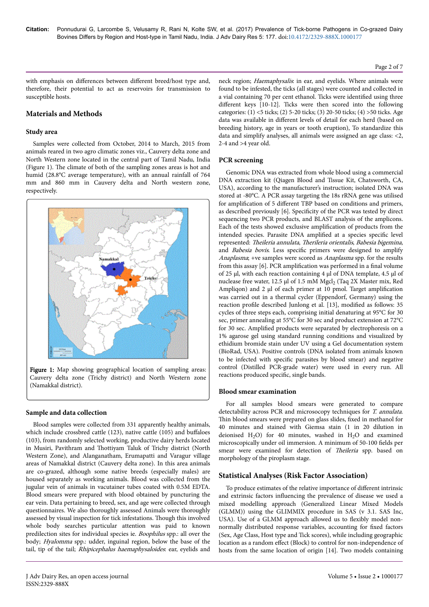## Page 2 of 7

with emphasis on differences between different breed/host type and, therefore, their potential to act as reservoirs for transmission to susceptible hosts.

# **Materials and Methods**

#### **Study area**

Samples were collected from October, 2014 to March, 2015 from animals reared in two agro climatic zones viz., Cauvery delta zone and North Western zone located in the central part of Tamil Nadu, India (Figure 1). Нe climate of both of the sampling zones areas is hot and humid (28.8°C average temperature), with an annual rainfall of 764 mm and 860 mm in Cauvery delta and North western zone, respectively.



Figure 1: Map showing geographical location of sampling areas: Cauvery delta zone (Trichy district) and North Western zone (Namakkal district).

#### **Sample and data collection**

Blood samples were collected from 331 apparently healthy animals, which include crossbred cattle  $(123)$ , native cattle  $(105)$  and buffaloes (103), from randomly selected working, productive dairy herds located in Musiri, Pavithram and Нottiyam Taluk of Trichy district (North Western Zone), and Alanganatham, Erumapatti and Varagur village areas of Namakkal district (Cauvery delta zone). In this area animals are co-grazed, although some native breeds (especially males) are housed separately as working animals. Blood was collected from the jugular vein of animals in vacutainer tubes coated with 0.5M EDTA. Blood smears were prepared with blood obtained by puncturing the ear vein. Data pertaining to breed, sex, and age were collected through questionnaires. We also thoroughly assessed Animals were thoroughly assessed by visual inspection for tick infestations. Нough this involved whole body searches particular attention was paid to known predilection sites for individual species ie. Boophilus spp.: all over the body; Hyalomma spp.: udder, inguinal region, below the base of the tail, tip of the tail; Rhipicephalus haemaphysaloides: ear, eyelids and

neck region; Haemaphysalis: in ear, and eyelids. Where animals were found to be infested, the ticks (all stages) were counted and collected in a vial containing 70 per cent ethanol. Ticks were identified using three different keys  $[10-12]$ . Ticks were then scored into the following categories: (1) <5 ticks; (2) 5-20 ticks; (3) 20-50 ticks; (4) >50 ticks. Age data was available in different levels of detail for each herd (based on breeding history, age in years or tooth eruption), To standardize this data and simplify analyses, all animals were assigned an age class: <2, 2-4 and >4 year old.

#### **PCR screening**

Genomic DNA was extracted from whole blood using a commercial DNA extraction kit (Qiagen Blood and Tissue Kit, Chatsworth, CA, USA), according to the manufacturer's instruction; isolated DNA was stored at -80°C. A PCR assay targeting the 18s rRNA gene was utilised for amplification of 5 different TBP based on conditions and primers, as described previously [6]. Specificity of the PCR was tested by direct sequencing two PCR products, and BLAST analysis of the amplicons. Each of the tests showed exclusive amplification of products from the intended species. Parasite DNA amplified at a species specific level represented: Нeileria annulata, Нerileria orientalis, Babesia bigemina, and Babesia bovis. Less specific primers were designed to amplify Anaplasma; +ve samples were scored as Anaplasma spp. for the results from this assay [6]. PCR amplification was performed in a final volume of 25 µl, with each reaction containing 4 µl of DNA template, 4.5 µl of nuclease free water, 12.5 μl of 1.5 mM Mgcl<sub>2</sub> (Taq 2X Master mix, Red Ampligon) and 2 µl of each primer at 10 pmol. Target amplification was carried out in a thermal cycler (Eppendorf, Germany) using the reaction profile described Junlong et al. [13], modified as follows: 35 cycles of three steps each, comprising initial denaturing at 95°C for 30 sec, primer annealing at 55°C for 30 sec and product extension at 72°C for 30 sec. Amplified products were separated by electrophoresis on a 1% agarose gel using standard running conditions and visualized by ethidium bromide stain under UV using a Gel documentation system (BioRad, USA). Positive controls (DNA isolated from animals known to be infected with specific parasites by blood smear) and negative control (Distilled PCR-grade water) were used in every run. All reactions produced specific, single bands.

#### **Blood smear examination**

For all samples blood smears were generated to compare detectability across PCR and microsocopy techniques for T. annulata. Thin blood smears were prepared on glass slides, fixed in methanol for 40 minutes and stained with Giemsa stain (1 in 20 dilution in deionised  $H_2O$ ) for 40 minutes, washed in  $H_2O$  and examined microscopically under oil immersion. A minimum of 50-100 fields per smear were examined for detection of *Theileria* spp. based on morphology of the piroplasm stage.

# **Statistical Analyses (Risk Factor Association)**

To produce estimates of the relative importance of different intrinsic and extrinsic factors influencing the prevalence of disease we used a mixed modelling approach (Generalized Linear Mixed Models (GLMM)) using the GLIMMIX procedure in SAS (v 3.1. SAS Inc, USA). Use of a GLMM approach allowed us to flexibly model nonnormally distributed response variables, accounting for fixed factors (Sex, Age Class, Host type and Tick scores), while including geographic location as a random effect (Block) to control for non-independence of hosts from the same location of origin [14]. Two models containing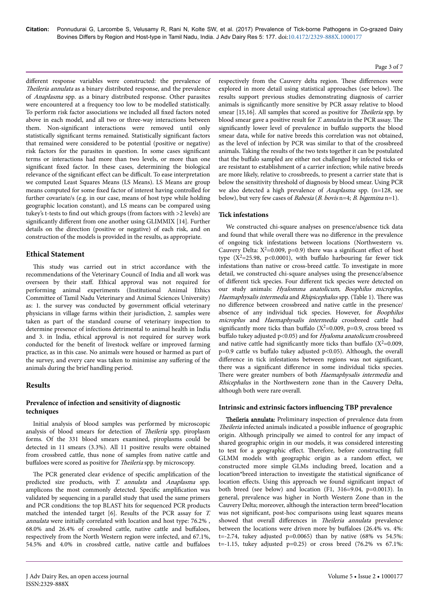different response variables were constructed: the prevalence of Theileria annulata as a binary distributed response, and the prevalence of Anaplasma spp. as a binary distributed response. Other parasites were encountered at a frequency too low to be modelled statistically. To perform risk factor associations we included all fixed factors noted above in each model, and all two or three-way interactions between them. Non-significant interactions were removed until only statistically significant terms remained. Statistically significant factors that remained were considered to be potential (positive or negative) risk factors for the parasites in question. In some cases significant terms or interactions had more than two levels, or more than one significant fixed factor. In these cases, determining the biological relevance of the significant effect can be difficult. To ease interpretation we computed Least Squares Means (LS Means). LS Means are group means computed for some fixed factor of interest having controlled for further covariate/s (e.g. in our case, means of host type while holding geographic location constant), and LS means can be compared using tukey's t-tests to find out which groups (from factors with >2 levels) are significantly different from one another using GLIMMIX [14]. Further details on the direction (positive or negative) of each risk, and on construction of the models is provided in the results, as appropriate.

# **Ethical Statement**

This study was carried out in strict accordance with the recommendations of the Veterinary Council of India and all work was overseen by their staff. Ethical approval was not required for performing animal experiments (Institutional Animal Ethics Committee of Tamil Nadu Veterinary and Animal Sciences University) as: 1. the survey was conducted by government official veterinary physicians in village farms within their jurisdiction, 2. samples were taken as part of the standard course of veterinary inspection to determine presence of infections detrimental to animal health in India and 3. in India, ethical approval is not required for survey work conducted for the benefit of livestock welfare or improved farming practice, as in this case. No animals were housed or harmed as part of the survey, and every care was taken to minimise any suffering of the animals during the brief handling period.

# **Results**

# **Prevalence of infection and sensitivity of diagnostic techniques**

Initial analysis of blood samples was performed by microscopic analysis of blood smears for detection of *Theileria* spp. piroplasm forms. Of the 331 blood smears examined, piroplasms could be detected in 11 smears (3.3%). All 11 positive results were obtained from crossbred cattle, thus none of samples from native cattle and buffaloes were scored as positive for *Theileria* spp. by microscopy.

The PCR generated clear evidence of specific amplification of the predicted size products, with T. annulata and Anaplasma spp. amplicons the most commonly detected. 6pecific amplification was validated by sequencing in a parallel study that used the same primers and PCR conditions: the top BLAST hits for sequenced PCR products matched the intended target [6]. Results of the PCR assay for T. annulata were initially correlated with location and host type: 76.2% ,  $68.0\%$  and  $26.4\%$  of crossbred cattle, native cattle and buffaloes, respectively from the North Western region were infected, and 67.1%, 54.5% and 4.0% in crossbred cattle, native cattle and buffaloes

#### Page 3 of 7

respectively from the Cauvery delta region. These differences were explored in more detail using statistical approaches (see below). Нe results support previous studies demonstrating diagnosis of carrier animals is significantly more sensitive by PCR assay relative to blood smear [15,16]. All samples that scored as positive for Theileria spp. by blood smear gave a positive result for T. annulata in the PCR assay. The significantly lower level of prevalence in buffalo supports the blood smear data, while for native breeds this correlation was not obtained, as the level of infection by PCR was similar to that of the crossbreed animals. Taking the results of the two tests together it can be postulated that the buffalo sampled are either not challenged by infected ticks or are resistant to establishment of a carrier infection; while native breeds are more likely, relative to crossbreeds, to present a carrier state that is below the sensitivity threshold of diagnosis by blood smear. Using PCR we also detected a high prevalence of Anaplasma spp. (n=128, see below), but very few cases of *Babesia* (*B. bovis* n=4; *B. bigemina* n=1).

# **Tick infestations**

We constructed chi-square analyses on presence/absence tick data and found that while overall there was no difference in the prevalence of ongoing tick infestations between locations (Northwestern vs. Cauvery Delta:  $X^2=0.009$ , p=0.9) there was a significant effect of host type  $(X^2=25.98, p<0.0001)$ , with buffalo harbouring far fewer tick infestations than native or cross-breed cattle. To investigate in more detail, we constructed chi-square analyses using the presence/absence of different tick species. Four different tick species were detected on our study animals: Hyalomma anatolicum, Boophilus microplus, Haemaphysalis intermedia and Rhipicephalus spp. (Table 1). There was no difference between crossbreed and native cattle in the presence/ absence of any individual tick species. However, for Boophilus microplus and Haemaphysalis intermedia crossbreed cattle had significantly more ticks than buffalo ( $X^2$ =0.009, p=0.9, cross breed vs buffalo tukey adjusted p<0.05) and for Hyaloma anatolicum crossbreed and native cattle had significantly more ticks than buffalo  $(X^2=0.009, ...)$  $p=0.9$  cattle vs buffalo tukey adjusted  $p<0.05$ ). Although, the overall difference in tick infestations between regions was not significant, there was a significant difference in some individual ticks species. There were greater numbers of both Haemaphysalis intermedia and Rhicephalus in the Northwestern zone than in the Cauvery Delta, although both were rare overall.

#### **Intrinsic and extrinsic factors influencing TBP prevalence**

Theileria annulata: Preliminary inspection of prevalence data from Нeileria infected animals indicated a possible influence of geographic origin. Although principally we aimed to control for any impact of shared geographic origin in our models, it was considered interesting to test for a geographic effect. Therefore, before constructing full GLMM models with geographic origin as a random effect, we constructed more simple GLMs including breed, location and a location\*breed interaction to investigate the statistical significance of location effects. Using this approach we found significant impact of both breed (see below) and location (F1, 316=9.04, p=0.0013). In general, prevalence was higher in North Western Zone than in the Cauvery Delta; moreover, although the interaction term breed\*location was not significant, post-hoc comparisons using least squares means showed that overall differences in Theileria annulata prevalence between the locations were driven more by buffaloes (26.4% vs. 4%:  $t=-2.74$ , tukey adjusted  $p=0.0065$ ) than by native (68% vs 54.5%:  $t=-1.15$ , tukey adjusted  $p=0.25$ ) or cross breed (76.2% vs 67.1%: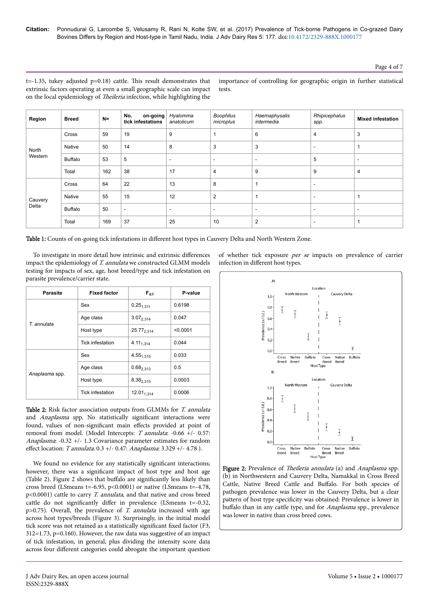# Page 4 of 7

 $t=-1.35$ , tukey adjusted  $p=0.18$ ) cattle. This result demonstrates that extrinsic factors operating at even a small geographic scale can impact on the local epidemiology of *Theileria* infection, while highlighting the

importance of controlling for geographic origin in further statistical tests.

| Region           | <b>Breed</b>   | $N =$ | $on$ -going<br>No.<br>tick infestations | Hyalomma<br>anatolicum   | Boophilus<br>microplus   | Haemaphysalis<br>intermedia | Rhipicephalus<br>spp.    | <b>Mixed infestation</b> |
|------------------|----------------|-------|-----------------------------------------|--------------------------|--------------------------|-----------------------------|--------------------------|--------------------------|
| North<br>Western | Cross          | 59    | 19                                      | 9                        |                          | 6                           | $\overline{4}$           | 3                        |
|                  | Native         | 50    | 14                                      | 8                        | 3                        | 3                           | $\overline{\phantom{a}}$ |                          |
|                  | <b>Buffalo</b> | 53    | 5                                       | $\overline{\phantom{a}}$ | $\overline{\phantom{a}}$ | $\overline{\phantom{a}}$    | $5\phantom{.0}$          | ۰                        |
|                  | Total          | 162   | 38                                      | 17                       | $\overline{4}$           | 9                           | 9                        | 4                        |
| Cauvery<br>Delta | Cross          | 64    | 22                                      | 13                       | 8                        | $\overline{1}$              | $\overline{\phantom{a}}$ |                          |
|                  | Native         | 55    | 15                                      | 12                       | $\overline{2}$           | 1                           | $\overline{\phantom{a}}$ |                          |
|                  | <b>Buffalo</b> | 50    | $\overline{\phantom{a}}$                | $\overline{\phantom{a}}$ | $\overline{\phantom{a}}$ | $\overline{\phantom{a}}$    | $\overline{\phantom{a}}$ | $\overline{\phantom{a}}$ |
|                  | Total          | 169   | 37                                      | 25                       | 10                       | $\overline{2}$              | $\overline{\phantom{a}}$ |                          |

Table 1: Counts of on-going tick infestations in different host types in Cauvery Delta and North Western Zone.

To investigate in more detail how intrinsic and extrinsic differences impact the epidemiology of T. annulata we constructed GLMM models testing for impacts of sex, age, host breed/type and tick infestation on parasite prevalence/carrier state.

| Parasite       | <b>Fixed factor</b>     | $F_{d.f}$              | P-value  |
|----------------|-------------------------|------------------------|----------|
|                | Sex                     | $0.25_{1.311}$         | 0.6198   |
| T. annulata    | Age class               | $3.07_{2.314}$         | 0.047    |
|                | Host type               | 25.77 <sub>2.314</sub> | < 0.0001 |
|                | <b>Tick infestation</b> | $4.11_{1,314}$         | 0.044    |
|                | Sex                     | $4.55_{1,315}$         | 0.033    |
|                | Age class               | $0.68_{2.313}$         | 0.5      |
| Anaplasma spp. | Host type               | $8.38_{2,315}$         | 0.0003   |
|                | <b>Tick infestation</b> | $12.01_{1.314}$        | 0.0006   |

Table 2: Risk factor association outputs from GLMMs for T. annulata and Anaplasma spp. No statistically significant interactions were found, values of non-significant main effects provided at point of removal from model. (Model Intercepts: T annulata: -0.66 +/- 0.57: Anaplasma: -0.32 +/- 1.3 Covariance parameter estimates for random effect location: T annulata:  $0.3 +/-0.47$ : Anaplasma:  $3.329 +/-4.78$ ).

We found no evidence for any statistically significant interactions; however, there was a significant impact of host type and host age (Table 2). Figure 2 shows that buffalo are significantly less likely than cross breed (LSmeans t=-6.95, p<0.0001) or native (LSmeans t=-4.78, p<0.0001) cattle to carry T. annulata, and that native and cross breed cattle do not significantly differ in prevalence (LSmeans t=-0.32, p>0.75). Overall, the prevalence of T. annulata increased with age across host types/breeds (Figure 3). Surprisingly, in the initial model tick score was not retained as a statistically significant fixed factor (F3, 312=1.73, p=0.160). However, the raw data was suggestive of an impact of tick infestation, in general, plus dividing the intensity score data across four different categories could abrogate the important question of whether tick exposure per se impacts on prevalence of carrier infection in different host types.



Figure 2: Prevalence of *Theileria annulata* (a) and *Anaplasma* spp. (b) in Northwestern and Cauvery Delta, Namakkal in Cross Breed Cattle, Native Breed Cattle and Buffalo. For both species of pathogen prevalence was lower in the Cauvery Delta, but a clear pattern of host type specificity was obtained: Prevalence is lower in buffalo than in any cattle type, and for Anaplasma spp., prevalence was lower in native than cross breed cows.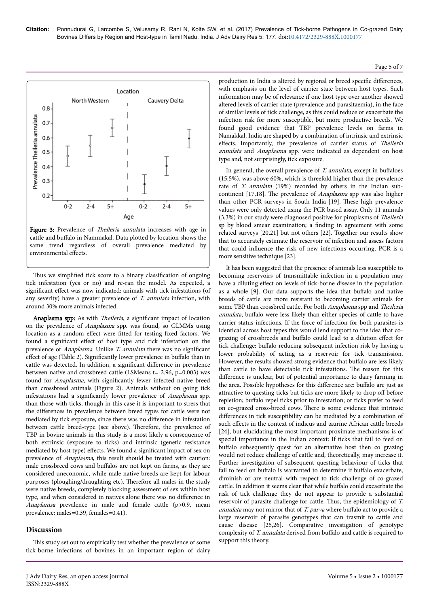Prevalence Theileria annulata  $0.7$  $0.6<sub>2</sub>$  $0.5$  $0.4$  $0.3$  $0.2$  $0 - 2$  $5 +$  $0 - 2$  $2 - 4$  $5 +$  $2 - 4$ Age

Figure 3: Prevalence of *Theileria annulata* increases with age in cattle and buffalo in Nammakal. Data plotted by location shows the same trend regardless of overall prevalence mediated by environmental effects.

Thus we simplified tick score to a binary classification of ongoing tick infestation (yes or no) and re-ran the model. As expected, a significant effect was now indicated: animals with tick infestations (of any severity) have a greater prevalence of T. annulata infection, with around 30% more animals infected.

Anaplasma spp: As with *Theileria*, a significant impact of location on the prevalence of Anaplasma spp. was found, so GLMMs using location as a random effect were fitted for testing fixed factors. We found a significant effect of host type and tick infestation on the prevalence of Anaplasma. Unlike T. annulata there was no significant effect of age (Table 2). Significantly lower prevalence in buffalo than in cattle was detected. In addition, a significant difference in prevalence between native and crossbreed cattle (LSMeans t=-2.96, p=0.003) was found for Anaplasma, with significantly fewer infected native breed than crossbreed animals (Figure 2). Animals without on going tick infestations had a significantly lower prevalence of Anaplasma spp. than those with ticks, though in this case it is important to stress that the differences in prevalence between breed types for cattle were not mediated by tick exposure, since there was no difference in infestation between cattle breed-type (see above). Нerefore, the prevalence of TBP in bovine animals in this study is a most likely a consequence of both extrinsic (exposure to ticks) and intrinsic (genetic resistance mediated by host type) effects. We found a significant impact of sex on prevalence of Anaplasma, this result should be treated with caution: male crossbreed cows and buffalos are not kept on farms, as they are considered uneconomic, while male native breeds are kept for labour purposes (ploughing/draughting etc). Нerefore all males in the study were native breeds, completely blocking assessment of sex within host type, and when considered in natives alone there was no difference in Anaplamsa prevalence in male and female cattle (p>0.9, mean prevalence: males=0.39, females=0.41).

# **Discussion**

This study set out to empirically test whether the prevalence of some tick-borne infections of bovines in an important region of dairy production in India is altered by regional or breed specific differences, with emphasis on the level of carrier state between host types. Such information may be of relevance if one host type over another showed altered levels of carrier state (prevalence and parasitaemia), in the face of similar levels of tick challenge, as this could reduce or exacerbate the infection risk for more susceptible, but more productive breeds. We found good evidence that TBP prevalence levels on farms in Namakkal, India are shaped by a combination of intrinsic and extrinsic effects. Importantly, the prevalence of carrier status of Theileria annulata and Anaplasma spp. were indicated as dependent on host type and, not surprisingly, tick exposure.

Page 5 of 7

In general, the overall prevalence of  $T$ . annulata, except in buffaloes (15.5%), was above 60%, which is threefold higher than the prevalence rate of T. annulata (19%) recorded by others in the Indian subcontinent [17,18]. The prevalence of *Anaplasma* spp was also higher than other PCR surveys in South India [19]. Нese high prevalence values were only detected using the PCR based assay. Only 11 animals (3.3%) in our study were diagnosed positive for piroplasms of Theileria sp by blood smear examination; a finding in agreement with some related surveys [20,21] but not others [22]. Together our results show that to accurately estimate the reservoir of infection and assess factors that could influence the risk of new infections occurring, PCR is a more sensitive technique [23].

It has been suggested that the presence of animals less susceptible to becoming reservoirs of transmittable infection in a population may have a diluting effect on levels of tick-borne disease in the population as a whole [9]. Our data supports the idea that buffalo and native breeds of cattle are more resistant to becoming carrier animals for some TBP than crossbred cattle. For both Anaplasma spp and Theileria annulata, buffalo were less likely than either species of cattle to have carrier status infections. If the force of infection for both parasites is identical across host types this would lend support to the idea that cograzing of crossbreeds and buffalo could lead to a dilution effect for tick challenge: buffalo reducing subsequent infection risk by having a lower probability of acting as a reservoir for tick transmission. However, the results showed strong evidence that buffalo are less likely than cattle to have detectable tick infestations. Нe reason for this difference is unclear, but of potential importance to dairy farming in the area. Possible hypotheses for this difference are: buffalo are just as attractive to questing ticks but ticks are more likely to drop off before repletion; buffalo repel ticks prior to infestation; or ticks prefer to feed on co-grazed cross-breed cows. Нere is some evidence that intrinsic differences in tick susceptibility can be mediated by a combination of such effects in the context of indicus and taurine African cattle breeds [24], but elucidating the most important proximate mechanisms is of special importance in the Indian context: If ticks that fail to feed on buffalo subsequently quest for an alternative host then co grazing would not reduce challenge of cattle and, theoretically, may increase it. Further investigation of subsequent questing behaviour of ticks that fail to feed on buffalo is warranted to determine if buffalo exacerbate, diminish or are neutral with respect to tick challenge of co-grazed cattle. In addition it seems clear that while buffalo could excaerbate the risk of tick challenge they do not appear to provide a substantial reservoir of parasite challenge for cattle. Нus, the epidemiology of T. annulata may not mirror that of  $T$ . parva where buffalo act to provide a large reservoir of parasite genotypes that can trasmit to cattle and cause disease [25,26]. Comparative investigation of genotype complexity of T. annulata derived from buffalo and cattle is required to support this theory.

# Location North Western Cauvery Delta  $0.8$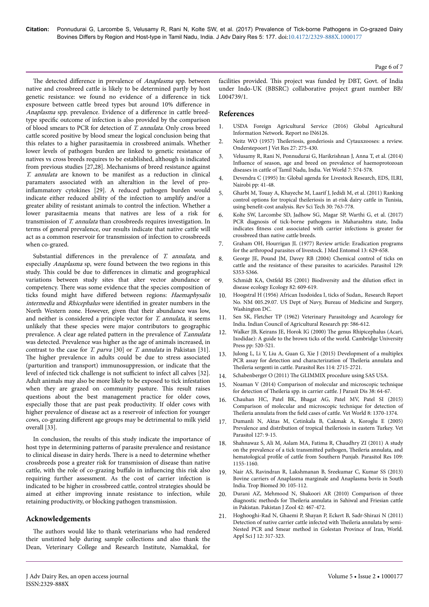The detected difference in prevalence of *Anaplasma* spp. between native and crossbreed cattle is likely to be determined partly by host genetic resistance: we found no evidence of a difference in tick exposure between cattle breed types but around 10% difference in Anaplasma spp. prevalence. Evidence of a difference in cattle breedtype specific outcome of infection is also provided by the comparison of blood smears to PCR for detection of T. annulata. Only cross breed cattle scored positive by blood smear the logical conclusion being that this relates to a higher parasitaemia in crossbreed animals. Whether lower levels of pathogen burden are linked to genetic resistance of natives vs cross breeds requires to be established, although is indicated from previous studies [27,28]. Mechanisms of breed resistance against T. annulata are known to be manifest as a reduction in clinical paramaters associated with an alteraltion in the level of proinflammatory cytokines [29]. A reduced pathogen burden would indicate either reduced ability of the infection to amplify and/or a greater ability of resistant animals to control the infection. Whether a lower parasitaemia means that natives are less of a risk for transmission of T. annulata than crossbreeds requires investigation. In terms of general prevalence, our results indicate that native cattle will act as a common reservoir for transmission of infection to crossbreeds when co-grazed.

Substantial differences in the prevalence of  $T$ . annulata, and especially Anaplasma sp, were found between the two regions in this study. This could be due to differences in climatic and geographical variations between study sites that alter vector abundance or competency. Нere was some evidence that the species composition of ticks found might have differed between regions: Haemaphysalis intermedia and Rhicephalus were identified in greater numbers in the North Western zone. However, given that their abundance was low, and neither is considered a principle vector for T. annulata, it seems unlikely that these species were major contributors to geographic prevalence. A clear age related pattern in the prevalence of T.annulata was detected. Prevalence was higher as the age of animals increased, in contrast to the case for T. parva [30] or T. annulata in Pakistan [31]. The higher prevalence in adults could be due to stress associated (parturition and transport) immunosuppression, or indicate that the level of infected tick challenge is not sufficient to infect all calves [32]. Adult animals may also be more likely to be exposed to tick infestation when they are grazed on community pasture. Нis result raises questions about the best management practice for older cows, especially those that are past peak productivity. If older cows with higher prevalence of disease act as a reservoir of infection for younger cows, co-grazing different age groups may be detrimental to milk yield overall [33].

In conclusion, the results of this study indicate the importance of host type in determining patterns of parasite prevalence and resistance to clinical disease in dairy herds. Нere is a need to determine whether crossbreeds pose a greater risk for transmission of disease than native cattle, with the role of co-grazing buffalo in influencing this risk also requiring further assessment. As the cost of carrier infection is indicated to be higher in crossbreed cattle, control strategies should be aimed at either improving innate resistance to infection, while retaining productivity, or blocking pathogen transmission.

# **Acknowledgements**

The authors would like to thank veterinarians who had rendered their unstinted help during sample collections and also thank the Dean, Veterinary College and Research Institute, Namakkal, for

facilities provided. Нis project was funded by DBT, Govt. of India under Indo-UK (BBSRC) collaborative project grant number BB/ L004739/1.

# **References**

- 1. [USDA Foreign Agricultural Service \(2016\) Global Agricultural](https://gain.fas.usda.gov/Recent%20GAIN%20Publications/Dairy%20and%20Products%20Annual_New%20Delhi_India_9-29-2016.pdf) [Information Network. Report no IN6126.](https://gain.fas.usda.gov/Recent%20GAIN%20Publications/Dairy%20and%20Products%20Annual_New%20Delhi_India_9-29-2016.pdf)
- 2. Neitz WO (1957) Нeileriosis, gonderiosis and Cytauxzooses: a review. Onderstepoort J Vet Res 27: 275-430.
- 3. [Velusamy R, Rani N, Ponnudurai G, Harikrishnan J, Anna T, et al. \(2014\)](http://dx.doi.org/10.14202/vetworld.2015.1205-1209) Influence [of season, age and breed on prevalence of haemoprotozoan](http://dx.doi.org/10.14202/vetworld.2015.1205-1209) [diseases in cattle of Tamil Nadu, India. Vet World 7: 574-578.](http://dx.doi.org/10.14202/vetworld.2015.1205-1209)
- 4. [Devendra C \(1995\) In: Global agenda for Livestock Research, EDS, ILRI,](https://cgspace.cgiar.org/handle/10568/877) [Nairobi pp: 41-48.](https://cgspace.cgiar.org/handle/10568/877)
- 5. [Gharbi M, Touay A, Khayeche M, Laarif J, Jedidi M, et al. \(2011\) Ranking](http://dx.doi.org/10.20506/rst.30.3.2074) [control options for tropical theileriosis in at-risk dairy cattle in Tunisia,](http://dx.doi.org/10.20506/rst.30.3.2074) using benefit-cost [analysis. Rev Sci Tech 30: 763-778.](http://dx.doi.org/10.20506/rst.30.3.2074)
- 6. [Kolte SW, Larcombe SD, Jadhow SG, Magar SP, Warthi G, et al. \(2017\)](http://dx.doi.org/10.1371/journal.pone.0174595) [PCR diagnosis of tick-borne pathogens in Maharashtra state, India](http://dx.doi.org/10.1371/journal.pone.0174595) indicates fitness [cost associated with carrier infections is greater for](http://dx.doi.org/10.1371/journal.pone.0174595) [crossbreed than native cattle breeds.](http://dx.doi.org/10.1371/journal.pone.0174595)
- 7. [Graham OH, Hourrigan JL \(1977\) Review article: Eradication programs](http://dx.doi.org/10.1093/jmedent/13.6.629) [for the arthropod parasites of livestock. J Med Entomol 13: 629-658.](http://dx.doi.org/10.1093/jmedent/13.6.629)
- 8. [George JE, Pound JM, Davey RB \(2004\) Chemical control of ticks on](http://dx.doi.org/10.1017/S0031182003004682) [cattle and the resistance of these parasites to acaricides. Parasitol 129:](http://dx.doi.org/10.1017/S0031182003004682) [S353-S366.](http://dx.doi.org/10.1017/S0031182003004682)
- 9. Schmidt KA, Ostfeld RS (2001) Biodiversity and the dilution effect in disease ecology Ecology 82: 609-619.
- 10. Hoogstral H (1956) African Ixodoidea I, ticks of Sudan,. Research Report No. NM 005.29.07. US Dept of Navy, Bureau of Medicine and Surgery, Washington DC.
- 11. [Sen SK, Fletcher TP \(1962\) Veterinary Parasitology and Acarology for](https://www.cabdirect.org/cabdirect/abstract/19642201990) [India. Indian Council of Agricultural Research pp: 586-612.](https://www.cabdirect.org/cabdirect/abstract/19642201990)
- 12. [Walker JB, Keirans JE, Horok IG \(2000\)](https://www.amazon.com/Genus-Rhipicephalus-Acari-Ixodidae-Guide/dp/052101977X) Нe genus Rhipicephalus (Acari, [Ixodidae\): A guide to the brown ticks of the world. Cambridge University](https://www.amazon.com/Genus-Rhipicephalus-Acari-Ixodidae-Guide/dp/052101977X) [Press pp: 520-521.](https://www.amazon.com/Genus-Rhipicephalus-Acari-Ixodidae-Guide/dp/052101977X)
- 13. [Julong L, Li Y, Liu A, Guan G, Xie J \(2015\) Development of a multiplex](http://www.sciencedirect.com/science/article/pii/S0014489412003347) [PCR assay for detection and characterization of](http://www.sciencedirect.com/science/article/pii/S0014489412003347) Theileria annulata and Нeileria [sergenti in cattle. Parasitol Res 114: 2715-2721.](http://www.sciencedirect.com/science/article/pii/S0014489412003347)
- 14. Schabenberger O (2011) Нe [GLIMMIX procedure using SAS USA.](http://www2.sas.com/proceedings/sugi30/196-30.pdf.)
- 15. [Noaman V \(2014\) Comparison of molecular and microscopic technique](http://dx.doi.org/10.1007/s12639-012-0196-y) for detection of Нeileria [spp. in carrier cattle. J Parasit Dis 38: 64-67.](http://dx.doi.org/10.1007/s12639-012-0196-y)
- 16. [Chauhan HC, Patel BK, Bhagat AG, Patel MV, Patel SI \(2015\)](http://doi.org/10.14202/vetworld.2015.1370-1374) [Comparison of molecular and microscopic technique for detection of](http://doi.org/10.14202/vetworld.2015.1370-1374) Theileria annulata from the field [cases of cattle. Vet World 8: 1370-1374.](http://doi.org/10.14202/vetworld.2015.1370-1374)
- 17. [Dumanli N, Aktas M, Cetinkala B, Cakmak A, Koroglu E \(2005\)](http://dx.doi.org/10.1016/j.vetpar.2004.08.006) [Prevalence and distribution of tropical theileriosis in eastern Turkey. Vet](http://dx.doi.org/10.1016/j.vetpar.2004.08.006) [Parasitol 127: 9-15.](http://dx.doi.org/10.1016/j.vetpar.2004.08.006)
- 18. [Shahnawaz S, Ali M, Aslam MA, Fatima R, Chaudhry ZI \(2011\) A study](http://dx.doi.org/10.1007/s00436-011-2360-1) [on the prevalence of a tick transmitted pathogen,](http://dx.doi.org/10.1007/s00436-011-2360-1) Нeileria annulata, and hematological profile [of cattle from Southern Punjab. Parasitol Res 109:](http://dx.doi.org/10.1007/s00436-011-2360-1) [1155-1160.](http://dx.doi.org/10.1007/s00436-011-2360-1)
- 19. [Nair AS, Ravindran R, Lakshmanan B, Sreekumar C, Kumar SS \(2013\)](https://www.ncbi.nlm.nih.gov/pubmed/23665715) [Bovine carriers of Anaplasma marginale and Anaplasma bovis in South](https://www.ncbi.nlm.nih.gov/pubmed/23665715) [India. Trop Biomed 30: 105-112.](https://www.ncbi.nlm.nih.gov/pubmed/23665715)
- 20. [Durani AZ, Mehmood N, Shakoori AR \(2010\) Comparison of three](https://www.researchgate.net/publication/265355051_Comparison_of_Three_Diagnostic_Methods_for_Theileria_annulata_in_Sahiwal_and_Friesian_Cattle_in_Pakistan) diagnostic methods for Нeileria [annulata in Sahiwal and Friesian cattle](https://www.researchgate.net/publication/265355051_Comparison_of_Three_Diagnostic_Methods_for_Theileria_annulata_in_Sahiwal_and_Friesian_Cattle_in_Pakistan) [in Pakistan. Pakistan J Zool 42: 467-472.](https://www.researchgate.net/publication/265355051_Comparison_of_Three_Diagnostic_Methods_for_Theileria_annulata_in_Sahiwal_and_Friesian_Cattle_in_Pakistan)
- 21. [Hoghooghi-Rad N, Ghaemi P, Shayan P, Eckert B, Sadr-Shirazi N \(2011\)](https://www.researchgate.net/publication/268289693_Detection_of_Native_Carrier_Cattle_Infected_with_Theileria_annulata_by_Semi-Nested_PCR_and_Smear_Method_in_Golestan_Province_of_Iran) [Detection of native carrier cattle infected with](https://www.researchgate.net/publication/268289693_Detection_of_Native_Carrier_Cattle_Infected_with_Theileria_annulata_by_Semi-Nested_PCR_and_Smear_Method_in_Golestan_Province_of_Iran) Нeileria annulata by semi-[Nested PCR and Smear method in Golestan Province of Iran, World.](https://www.researchgate.net/publication/268289693_Detection_of_Native_Carrier_Cattle_Infected_with_Theileria_annulata_by_Semi-Nested_PCR_and_Smear_Method_in_Golestan_Province_of_Iran) [Appl Sci J 12: 317-323.](https://www.researchgate.net/publication/268289693_Detection_of_Native_Carrier_Cattle_Infected_with_Theileria_annulata_by_Semi-Nested_PCR_and_Smear_Method_in_Golestan_Province_of_Iran)